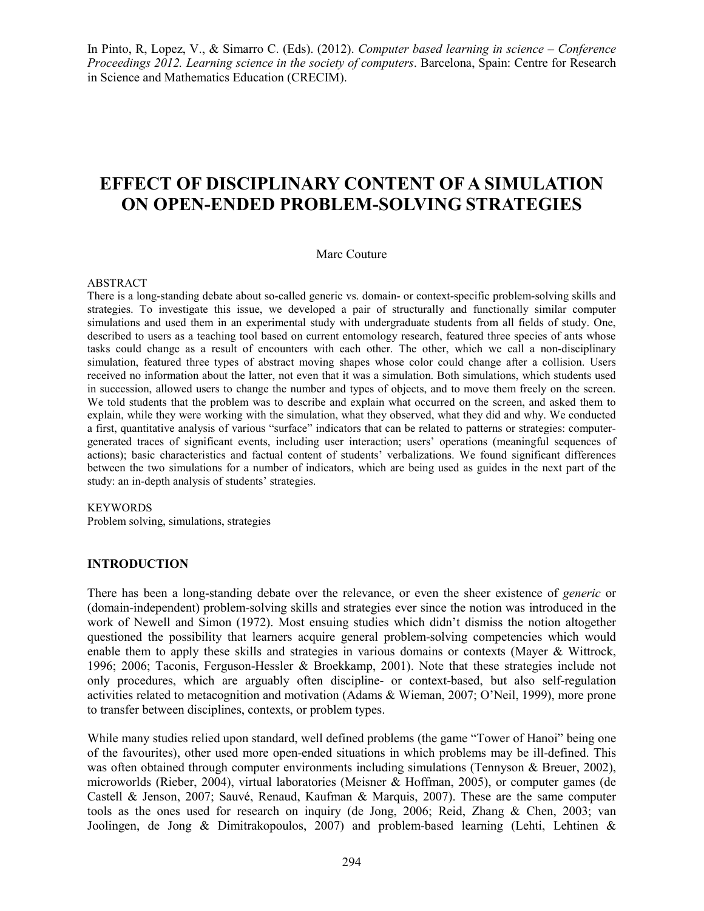In Pinto, R, Lopez, V., & Simarro C. (Eds). (2012). *Computer based learning in science – Conference Proceedings 2012. Learning science in the society of computers*. Barcelona, Spain: Centre for Research in Science and Mathematics Education (CRECIM).

# **EFFECT OF DISCIPLINARY CONTENT OF A SIMULATION ON OPEN-ENDED PROBLEM-SOLVING STRATEGIES**

#### Marc Couture

#### ABSTRACT

There is a long-standing debate about so-called generic vs. domain- or context-specific problem-solving skills and strategies. To investigate this issue, we developed a pair of structurally and functionally similar computer simulations and used them in an experimental study with undergraduate students from all fields of study. One, described to users as a teaching tool based on current entomology research, featured three species of ants whose tasks could change as a result of encounters with each other. The other, which we call a non-disciplinary simulation, featured three types of abstract moving shapes whose color could change after a collision. Users received no information about the latter, not even that it was a simulation. Both simulations, which students used in succession, allowed users to change the number and types of objects, and to move them freely on the screen. We told students that the problem was to describe and explain what occurred on the screen, and asked them to explain, while they were working with the simulation, what they observed, what they did and why. We conducted a first, quantitative analysis of various "surface" indicators that can be related to patterns or strategies: computergenerated traces of significant events, including user interaction; users' operations (meaningful sequences of actions); basic characteristics and factual content of students' verbalizations. We found significant differences between the two simulations for a number of indicators, which are being used as guides in the next part of the study: an in-depth analysis of students' strategies.

#### **KEYWORDS**

Problem solving, simulations, strategies

#### **INTRODUCTION**

There has been a long-standing debate over the relevance, or even the sheer existence of *generic* or (domain-independent) problem-solving skills and strategies ever since the notion was introduced in the work of Newell and Simon (1972). Most ensuing studies which didn't dismiss the notion altogether questioned the possibility that learners acquire general problem-solving competencies which would enable them to apply these skills and strategies in various domains or contexts (Mayer & Wittrock, 1996; 2006; Taconis, Ferguson-Hessler & Broekkamp, 2001). Note that these strategies include not only procedures, which are arguably often discipline- or context-based, but also self-regulation activities related to metacognition and motivation (Adams & Wieman, 2007; O'Neil, 1999), more prone to transfer between disciplines, contexts, or problem types.

While many studies relied upon standard, well defined problems (the game "Tower of Hanoi" being one of the favourites), other used more open-ended situations in which problems may be ill-defined. This was often obtained through computer environments including simulations (Tennyson & Breuer, 2002), microworlds (Rieber, 2004), virtual laboratories (Meisner & Hoffman, 2005), or computer games (de Castell & Jenson, 2007; Sauvé, Renaud, Kaufman & Marquis, 2007). These are the same computer tools as the ones used for research on inquiry (de Jong, 2006; Reid, Zhang & Chen, 2003; van Joolingen, de Jong & Dimitrakopoulos, 2007) and problem-based learning (Lehti, Lehtinen &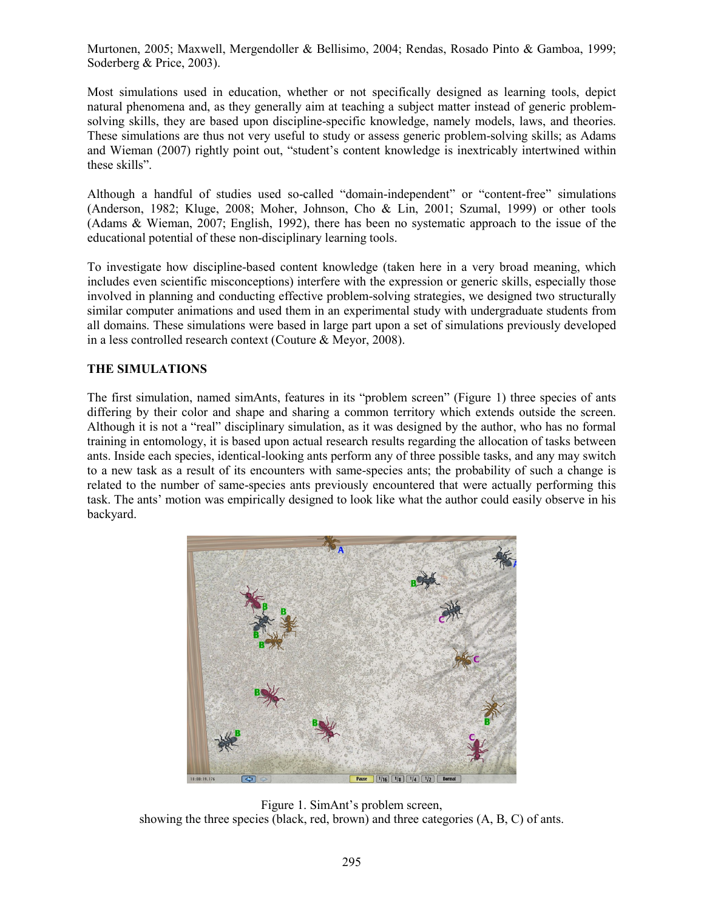Murtonen, 2005; Maxwell, Mergendoller & Bellisimo, 2004; Rendas, Rosado Pinto & Gamboa, 1999; Soderberg & Price, 2003).

Most simulations used in education, whether or not specifically designed as learning tools, depict natural phenomena and, as they generally aim at teaching a subject matter instead of generic problemsolving skills, they are based upon discipline-specific knowledge, namely models, laws, and theories. These simulations are thus not very useful to study or assess generic problem-solving skills; as Adams and Wieman (2007) rightly point out, "student's content knowledge is inextricably intertwined within these skills".

Although a handful of studies used so-called "domain-independent" or "content-free" simulations (Anderson, 1982; Kluge, 2008; Moher, Johnson, Cho & Lin, 2001; Szumal, 1999) or other tools (Adams & Wieman, 2007; English, 1992), there has been no systematic approach to the issue of the educational potential of these non-disciplinary learning tools.

To investigate how discipline-based content knowledge (taken here in a very broad meaning, which includes even scientific misconceptions) interfere with the expression or generic skills, especially those involved in planning and conducting effective problem-solving strategies, we designed two structurally similar computer animations and used them in an experimental study with undergraduate students from all domains. These simulations were based in large part upon a set of simulations previously developed in a less controlled research context (Couture & Meyor, 2008).

#### **THE SIMULATIONS**

The first simulation, named simAnts, features in its "problem screen" (Figure 1) three species of ants differing by their color and shape and sharing a common territory which extends outside the screen. Although it is not a "real" disciplinary simulation, as it was designed by the author, who has no formal training in entomology, it is based upon actual research results regarding the allocation of tasks between ants. Inside each species, identical-looking ants perform any of three possible tasks, and any may switch to a new task as a result of its encounters with same-species ants; the probability of such a change is related to the number of same-species ants previously encountered that were actually performing this task. The ants' motion was empirically designed to look like what the author could easily observe in his backyard.



Figure 1. SimAnt's problem screen, showing the three species (black, red, brown) and three categories (A, B, C) of ants.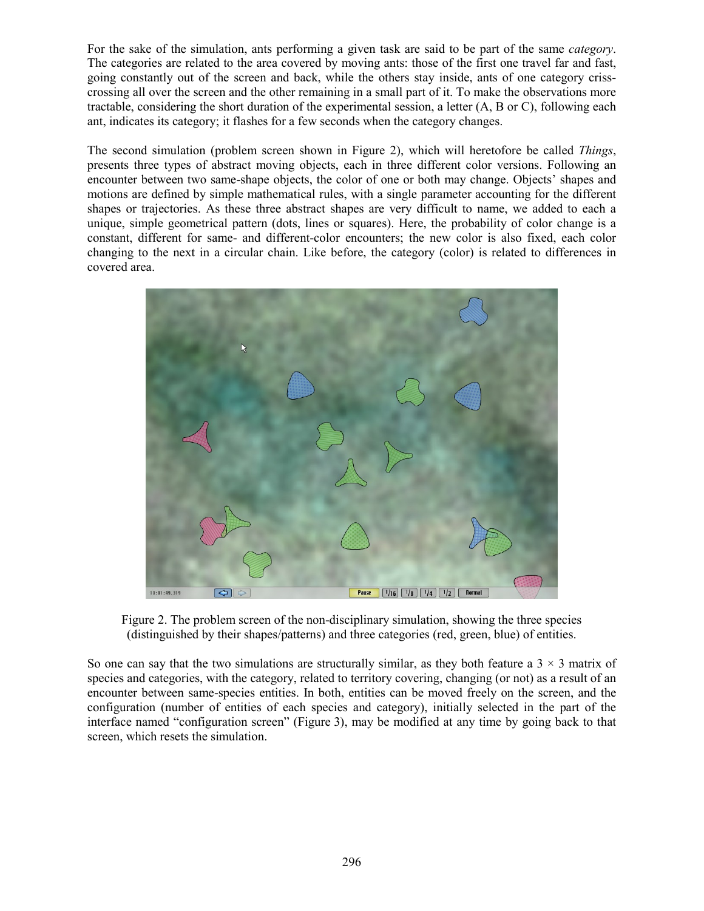For the sake of the simulation, ants performing a given task are said to be part of the same *category*. The categories are related to the area covered by moving ants: those of the first one travel far and fast, going constantly out of the screen and back, while the others stay inside, ants of one category crisscrossing all over the screen and the other remaining in a small part of it. To make the observations more tractable, considering the short duration of the experimental session, a letter (A, B or C), following each ant, indicates its category; it flashes for a few seconds when the category changes.

The second simulation (problem screen shown in Figure 2), which will heretofore be called *Things*, presents three types of abstract moving objects, each in three different color versions. Following an encounter between two same-shape objects, the color of one or both may change. Objects' shapes and motions are defined by simple mathematical rules, with a single parameter accounting for the different shapes or trajectories. As these three abstract shapes are very difficult to name, we added to each a unique, simple geometrical pattern (dots, lines or squares). Here, the probability of color change is a constant, different for same- and different-color encounters; the new color is also fixed, each color changing to the next in a circular chain. Like before, the category (color) is related to differences in covered area.



Figure 2. The problem screen of the non-disciplinary simulation, showing the three species (distinguished by their shapes/patterns) and three categories (red, green, blue) of entities.

So one can say that the two simulations are structurally similar, as they both feature a  $3 \times 3$  matrix of species and categories, with the category, related to territory covering, changing (or not) as a result of an encounter between same-species entities. In both, entities can be moved freely on the screen, and the configuration (number of entities of each species and category), initially selected in the part of the interface named "configuration screen" (Figure 3), may be modified at any time by going back to that screen, which resets the simulation.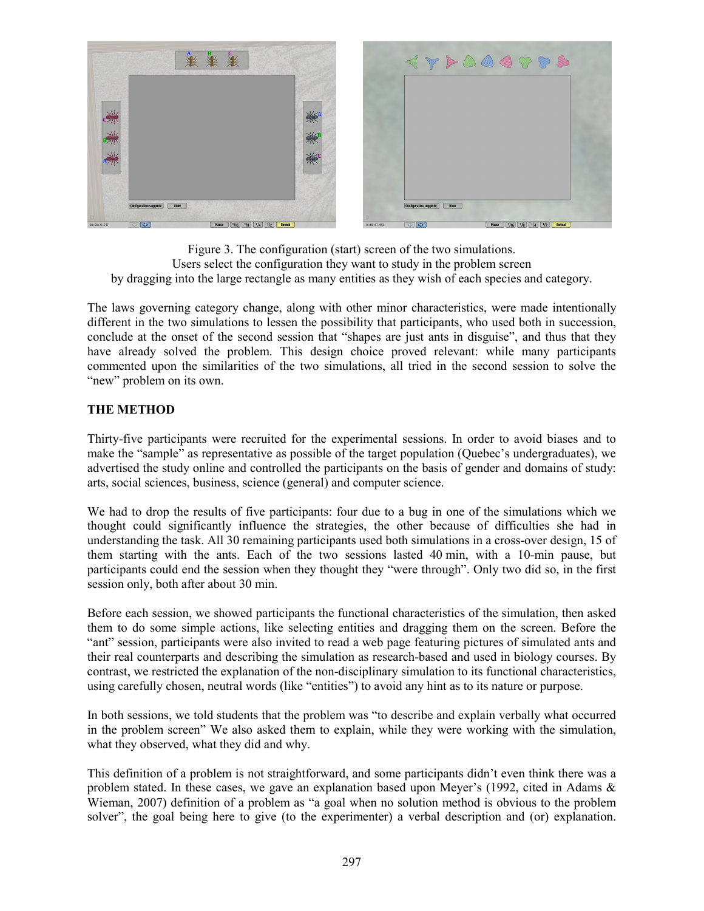

Figure 3. The configuration (start) screen of the two simulations. Users select the configuration they want to study in the problem screen by dragging into the large rectangle as many entities as they wish of each species and category.

The laws governing category change, along with other minor characteristics, were made intentionally different in the two simulations to lessen the possibility that participants, who used both in succession, conclude at the onset of the second session that "shapes are just ants in disguise", and thus that they have already solved the problem. This design choice proved relevant: while many participants commented upon the similarities of the two simulations, all tried in the second session to solve the "new" problem on its own.

#### **THE METHOD**

Thirty-five participants were recruited for the experimental sessions. In order to avoid biases and to make the "sample" as representative as possible of the target population (Quebec's undergraduates), we advertised the study online and controlled the participants on the basis of gender and domains of study: arts, social sciences, business, science (general) and computer science.

We had to drop the results of five participants: four due to a bug in one of the simulations which we thought could significantly influence the strategies, the other because of difficulties she had in understanding the task. All 30 remaining participants used both simulations in a cross-over design, 15 of them starting with the ants. Each of the two sessions lasted 40 min, with a 10-min pause, but participants could end the session when they thought they "were through". Only two did so, in the first session only, both after about 30 min.

Before each session, we showed participants the functional characteristics of the simulation, then asked them to do some simple actions, like selecting entities and dragging them on the screen. Before the "ant" session, participants were also invited to read a web page featuring pictures of simulated ants and their real counterparts and describing the simulation as research-based and used in biology courses. By contrast, we restricted the explanation of the non-disciplinary simulation to its functional characteristics, using carefully chosen, neutral words (like "entities") to avoid any hint as to its nature or purpose.

In both sessions, we told students that the problem was "to describe and explain verbally what occurred in the problem screen" We also asked them to explain, while they were working with the simulation, what they observed, what they did and why.

This definition of a problem is not straightforward, and some participants didn't even think there was a problem stated. In these cases, we gave an explanation based upon Meyer's (1992, cited in Adams & Wieman, 2007) definition of a problem as "a goal when no solution method is obvious to the problem solver", the goal being here to give (to the experimenter) a verbal description and (or) explanation.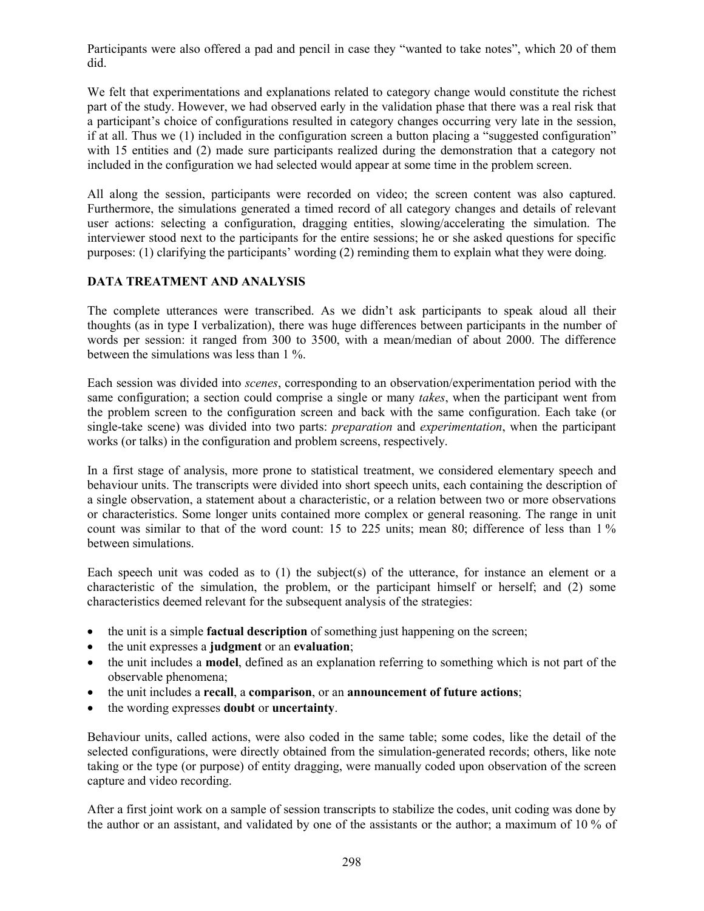Participants were also offered a pad and pencil in case they "wanted to take notes", which 20 of them did.

We felt that experimentations and explanations related to category change would constitute the richest part of the study. However, we had observed early in the validation phase that there was a real risk that a participant's choice of configurations resulted in category changes occurring very late in the session, if at all. Thus we (1) included in the configuration screen a button placing a "suggested configuration" with 15 entities and (2) made sure participants realized during the demonstration that a category not included in the configuration we had selected would appear at some time in the problem screen.

All along the session, participants were recorded on video; the screen content was also captured. Furthermore, the simulations generated a timed record of all category changes and details of relevant user actions: selecting a configuration, dragging entities, slowing/accelerating the simulation. The interviewer stood next to the participants for the entire sessions; he or she asked questions for specific purposes: (1) clarifying the participants' wording (2) reminding them to explain what they were doing.

# **DATA TREATMENT AND ANALYSIS**

The complete utterances were transcribed. As we didn't ask participants to speak aloud all their thoughts (as in type I verbalization), there was huge differences between participants in the number of words per session: it ranged from 300 to 3500, with a mean/median of about 2000. The difference between the simulations was less than 1 %.

Each session was divided into *scenes*, corresponding to an observation/experimentation period with the same configuration; a section could comprise a single or many *takes*, when the participant went from the problem screen to the configuration screen and back with the same configuration. Each take (or single-take scene) was divided into two parts: *preparation* and *experimentation*, when the participant works (or talks) in the configuration and problem screens, respectively.

In a first stage of analysis, more prone to statistical treatment, we considered elementary speech and behaviour units. The transcripts were divided into short speech units, each containing the description of a single observation, a statement about a characteristic, or a relation between two or more observations or characteristics. Some longer units contained more complex or general reasoning. The range in unit count was similar to that of the word count: 15 to 225 units; mean 80; difference of less than 1 % between simulations.

Each speech unit was coded as to (1) the subject(s) of the utterance, for instance an element or a characteristic of the simulation, the problem, or the participant himself or herself; and (2) some characteristics deemed relevant for the subsequent analysis of the strategies:

- the unit is a simple **factual description** of something just happening on the screen;
- the unit expresses a **judgment** or an **evaluation**;
- the unit includes a **model**, defined as an explanation referring to something which is not part of the observable phenomena;
- the unit includes a **recall**, a **comparison**, or an **announcement of future actions**;
- the wording expresses **doubt** or **uncertainty**.

Behaviour units, called actions, were also coded in the same table; some codes, like the detail of the selected configurations, were directly obtained from the simulation-generated records; others, like note taking or the type (or purpose) of entity dragging, were manually coded upon observation of the screen capture and video recording.

After a first joint work on a sample of session transcripts to stabilize the codes, unit coding was done by the author or an assistant, and validated by one of the assistants or the author; a maximum of 10 % of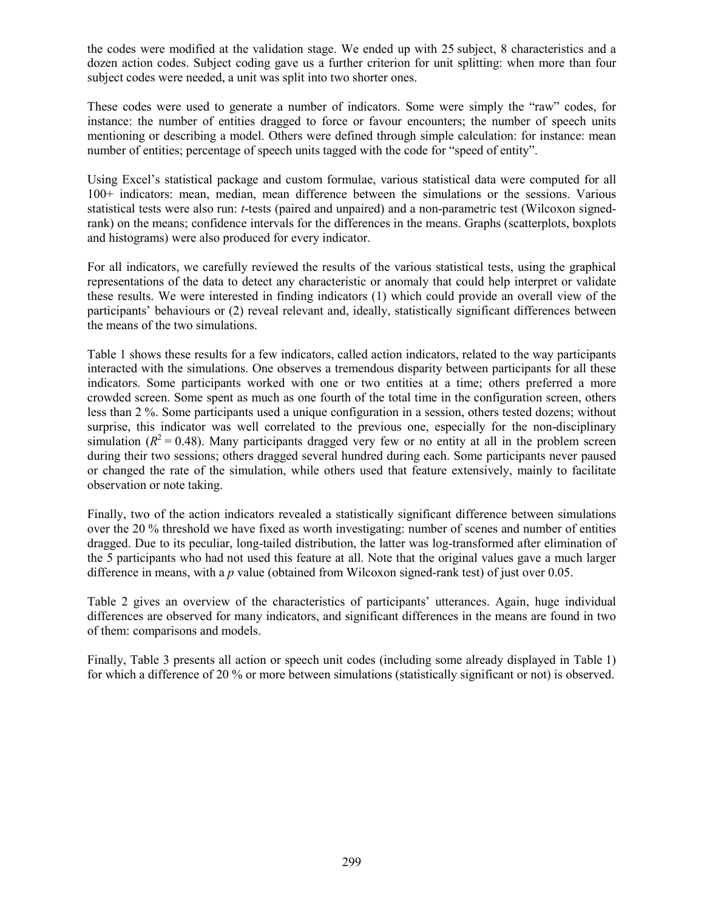the codes were modified at the validation stage. We ended up with 25 subject, 8 characteristics and a dozen action codes. Subject coding gave us a further criterion for unit splitting: when more than four subject codes were needed, a unit was split into two shorter ones.

These codes were used to generate a number of indicators. Some were simply the "raw" codes, for instance: the number of entities dragged to force or favour encounters; the number of speech units mentioning or describing a model. Others were defined through simple calculation: for instance: mean number of entities; percentage of speech units tagged with the code for "speed of entity".

Using Excel's statistical package and custom formulae, various statistical data were computed for all 100+ indicators: mean, median, mean difference between the simulations or the sessions. Various statistical tests were also run: *t*-tests (paired and unpaired) and a non-parametric test (Wilcoxon signedrank) on the means; confidence intervals for the differences in the means. Graphs (scatterplots, boxplots and histograms) were also produced for every indicator.

For all indicators, we carefully reviewed the results of the various statistical tests, using the graphical representations of the data to detect any characteristic or anomaly that could help interpret or validate these results. We were interested in finding indicators (1) which could provide an overall view of the participants' behaviours or (2) reveal relevant and, ideally, statistically significant differences between the means of the two simulations.

Table 1 shows these results for a few indicators, called action indicators, related to the way participants interacted with the simulations. One observes a tremendous disparity between participants for all these indicators. Some participants worked with one or two entities at a time; others preferred a more crowded screen. Some spent as much as one fourth of the total time in the configuration screen, others less than 2 %. Some participants used a unique configuration in a session, others tested dozens; without surprise, this indicator was well correlated to the previous one, especially for the non-disciplinary simulation  $(R^2 = 0.48)$ . Many participants dragged very few or no entity at all in the problem screen during their two sessions; others dragged several hundred during each. Some participants never paused or changed the rate of the simulation, while others used that feature extensively, mainly to facilitate observation or note taking.

Finally, two of the action indicators revealed a statistically significant difference between simulations over the 20 % threshold we have fixed as worth investigating: number of scenes and number of entities dragged. Due to its peculiar, long-tailed distribution, the latter was log-transformed after elimination of the 5 participants who had not used this feature at all. Note that the original values gave a much larger difference in means, with a *p* value (obtained from Wilcoxon signed-rank test) of just over 0.05.

Table 2 gives an overview of the characteristics of participants' utterances. Again, huge individual differences are observed for many indicators, and significant differences in the means are found in two of them: comparisons and models.

Finally, Table 3 presents all action or speech unit codes (including some already displayed in Table 1) for which a difference of 20 % or more between simulations (statistically significant or not) is observed.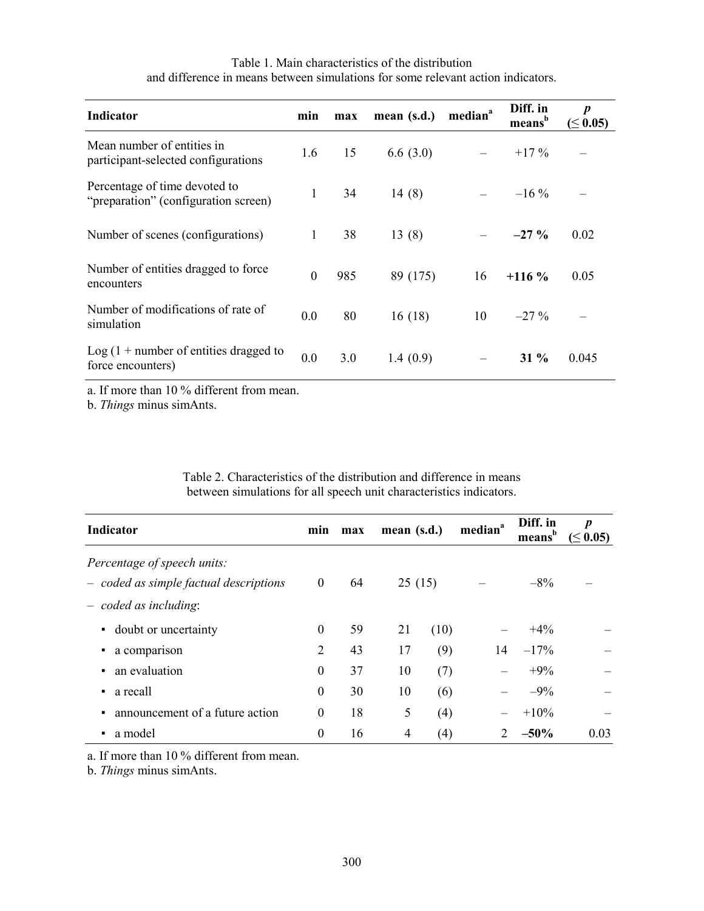| <b>Indicator</b>                                                      | min      | max | mean $(s.d.)$ | median <sup>a</sup> | Diff. in<br>$\mathbf{means}^{\mathbf{b}}$ | $\boldsymbol{p}$<br>$(\leq 0.05)$ |
|-----------------------------------------------------------------------|----------|-----|---------------|---------------------|-------------------------------------------|-----------------------------------|
| Mean number of entities in<br>participant-selected configurations     | 1.6      | 15  | 6.6(3.0)      |                     | $+17\%$                                   |                                   |
| Percentage of time devoted to<br>"preparation" (configuration screen) | 1        | 34  | 14(8)         |                     | $-16\%$                                   |                                   |
| Number of scenes (configurations)                                     | 1        | 38  | 13(8)         |                     | $-27\%$                                   | 0.02                              |
| Number of entities dragged to force<br>encounters                     | $\theta$ | 985 | 89 (175)      | 16                  | $+116\%$                                  | 0.05                              |
| Number of modifications of rate of<br>simulation                      | 0.0      | 80  | 16(18)        | 10                  | $-27\%$                                   |                                   |
| Log $(1 +$ number of entities dragged to<br>force encounters)         | 0.0      | 3.0 | 1.4(0.9)      |                     | $31\%$                                    | 0.045                             |

Table 1. Main characteristics of the distribution and difference in means between simulations for some relevant action indicators.

a. If more than 10 % different from mean.

b. *Things* minus simAnts.

Table 2. Characteristics of the distribution and difference in means between simulations for all speech unit characteristics indicators.

| <b>Indicator</b>                                                      | min              | max | mean (s.d.) |        | median <sup>a</sup> | Diff. in<br>means | $\boldsymbol{p}$<br>$(\leq 0.05)$ |
|-----------------------------------------------------------------------|------------------|-----|-------------|--------|---------------------|-------------------|-----------------------------------|
| Percentage of speech units:<br>- coded as simple factual descriptions | $\boldsymbol{0}$ | 64  |             | 25(15) |                     | $-8\%$            |                                   |
| $-$ coded as including:                                               |                  |     |             |        |                     |                   |                                   |
| doubt or uncertainty<br>$\blacksquare$                                | $\theta$         | 59  | 21          | (10)   |                     | $+4\%$            |                                   |
| a comparison<br>٠                                                     | 2                | 43  | 17          | (9)    | 14                  | $-17%$            |                                   |
| an evaluation<br>٠                                                    | $\mathbf{0}$     | 37  | 10          | (7)    |                     | $+9%$             |                                   |
| a recall<br>٠                                                         | $\boldsymbol{0}$ | 30  | 10          | (6)    |                     | $-9\%$            |                                   |
| announcement of a future action<br>$\blacksquare$                     | $\boldsymbol{0}$ | 18  | 5           | (4)    |                     | $+10%$            |                                   |
| a model<br>٠                                                          | $\boldsymbol{0}$ | 16  | 4           | (4)    |                     | $-50\%$           | 0.03                              |

a. If more than 10 % different from mean.

b. *Things* minus simAnts.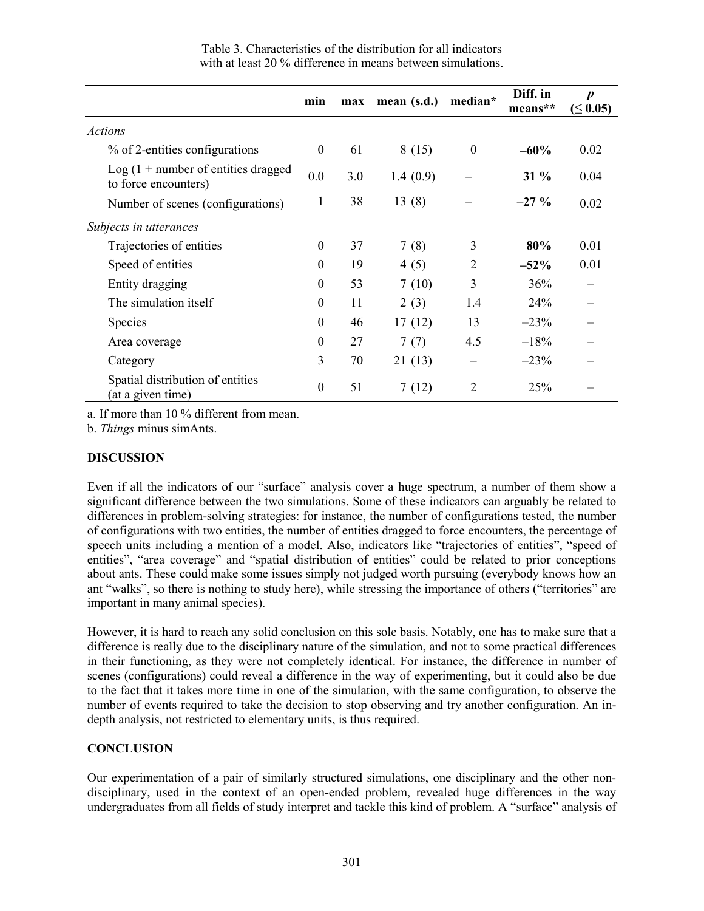|                                                                             | min              | max | mean $(s.d.)$ | median*          | Diff. in<br>means** | $\boldsymbol{p}$<br>$(\leq 0.05)$ |
|-----------------------------------------------------------------------------|------------------|-----|---------------|------------------|---------------------|-----------------------------------|
| <b>Actions</b>                                                              |                  |     |               |                  |                     |                                   |
| % of 2-entities configurations                                              | $\theta$         | 61  | 8(15)         | $\boldsymbol{0}$ | $-60%$              | 0.02                              |
| $\text{Log}(1 + \text{number of entities dragged})$<br>to force encounters) | 0.0              | 3.0 | 1.4(0.9)      |                  | $31\%$              | 0.04                              |
| Number of scenes (configurations)                                           | 1                | 38  | 13(8)         |                  | $-27\%$             | 0.02                              |
| Subjects in utterances                                                      |                  |     |               |                  |                     |                                   |
| Trajectories of entities                                                    | $\theta$         | 37  | 7(8)          | 3                | 80%                 | 0.01                              |
| Speed of entities                                                           | $\theta$         | 19  | 4(5)          | $\overline{2}$   | $-52\%$             | 0.01                              |
| Entity dragging                                                             | $\mathbf{0}$     | 53  | 7(10)         | 3                | 36%                 |                                   |
| The simulation itself                                                       | $\boldsymbol{0}$ | 11  | 2(3)          | 1.4              | 24%                 |                                   |
| <b>Species</b>                                                              | $\boldsymbol{0}$ | 46  | 17(12)        | 13               | $-23%$              |                                   |
| Area coverage                                                               | $\theta$         | 27  | 7(7)          | 4.5              | $-18%$              |                                   |
| Category                                                                    | 3                | 70  | 21(13)        |                  | $-23%$              |                                   |
| Spatial distribution of entities<br>(at a given time)                       | $\boldsymbol{0}$ | 51  | 7(12)         | $\overline{2}$   | 25%                 |                                   |

Table 3. Characteristics of the distribution for all indicators with at least 20 % difference in means between simulations.

a. If more than 10 % different from mean.

b. *Things* minus simAnts.

### **DISCUSSION**

Even if all the indicators of our "surface" analysis cover a huge spectrum, a number of them show a significant difference between the two simulations. Some of these indicators can arguably be related to differences in problem-solving strategies: for instance, the number of configurations tested, the number of configurations with two entities, the number of entities dragged to force encounters, the percentage of speech units including a mention of a model. Also, indicators like "trajectories of entities", "speed of entities", "area coverage" and "spatial distribution of entities" could be related to prior conceptions about ants. These could make some issues simply not judged worth pursuing (everybody knows how an ant "walks", so there is nothing to study here), while stressing the importance of others ("territories" are important in many animal species).

However, it is hard to reach any solid conclusion on this sole basis. Notably, one has to make sure that a difference is really due to the disciplinary nature of the simulation, and not to some practical differences in their functioning, as they were not completely identical. For instance, the difference in number of scenes (configurations) could reveal a difference in the way of experimenting, but it could also be due to the fact that it takes more time in one of the simulation, with the same configuration, to observe the number of events required to take the decision to stop observing and try another configuration. An indepth analysis, not restricted to elementary units, is thus required.

# **CONCLUSION**

Our experimentation of a pair of similarly structured simulations, one disciplinary and the other nondisciplinary, used in the context of an open-ended problem, revealed huge differences in the way undergraduates from all fields of study interpret and tackle this kind of problem. A "surface" analysis of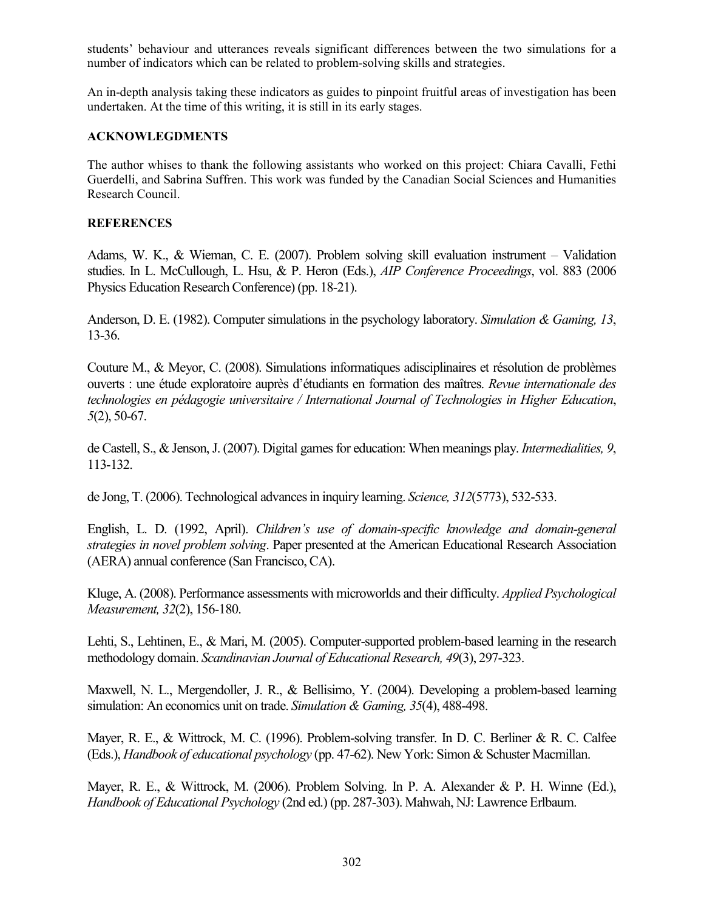students' behaviour and utterances reveals significant differences between the two simulations for a number of indicators which can be related to problem-solving skills and strategies.

An in-depth analysis taking these indicators as guides to pinpoint fruitful areas of investigation has been undertaken. At the time of this writing, it is still in its early stages.

#### **ACKNOWLEGDMENTS**

The author whises to thank the following assistants who worked on this project: Chiara Cavalli, Fethi Guerdelli, and Sabrina Suffren. This work was funded by the Canadian Social Sciences and Humanities Research Council.

### **REFERENCES**

Adams, W. K., & Wieman, C. E. (2007). Problem solving skill evaluation instrument – Validation studies. In L. McCullough, L. Hsu, & P. Heron (Eds.), *AIP Conference Proceedings*, vol. 883 (2006 Physics Education Research Conference) (pp. 18-21).

Anderson, D. E. (1982). Computer simulations in the psychology laboratory. *Simulation & Gaming, 13*, 13-36.

Couture M., & Meyor, C. (2008). Simulations informatiques adisciplinaires et résolution de problèmes ouverts : une étude exploratoire auprès d'étudiants en formation des maîtres. *Revue internationale des technologies en pédagogie universitaire / International Journal of Technologies in Higher Education*, *5*(2), 50-67.

de Castell, S., & Jenson, J. (2007). Digital games for education: When meanings play. *Intermedialities, 9*, 113-132.

de Jong, T. (2006). Technological advances in inquiry learning. *Science, 312*(5773), 532-533.

English, L. D. (1992, April). *Children's use of domain-specific knowledge and domain-general strategies in novel problem solving*. Paper presented at the American Educational Research Association (AERA) annual conference (San Francisco, CA).

Kluge, A. (2008). Performance assessments with microworlds and their difficulty. *Applied Psychological Measurement, 32*(2), 156-180.

Lehti, S., Lehtinen, E., & Mari, M. (2005). Computer-supported problem-based learning in the research methodology domain. *Scandinavian Journal of Educational Research, 49*(3), 297-323.

Maxwell, N. L., Mergendoller, J. R., & Bellisimo, Y. (2004). Developing a problem-based learning simulation: An economics unit on trade. *Simulation & Gaming, 35*(4), 488-498.

Mayer, R. E., & Wittrock, M. C. (1996). Problem-solving transfer. In D. C. Berliner & R. C. Calfee (Eds.), *Handbook of educational psychology* (pp. 47-62). New York: Simon & Schuster Macmillan.

Mayer, R. E., & Wittrock, M. (2006). Problem Solving. In P. A. Alexander & P. H. Winne (Ed.), *Handbook of Educational Psychology* (2nd ed.) (pp. 287-303). Mahwah, NJ: Lawrence Erlbaum.